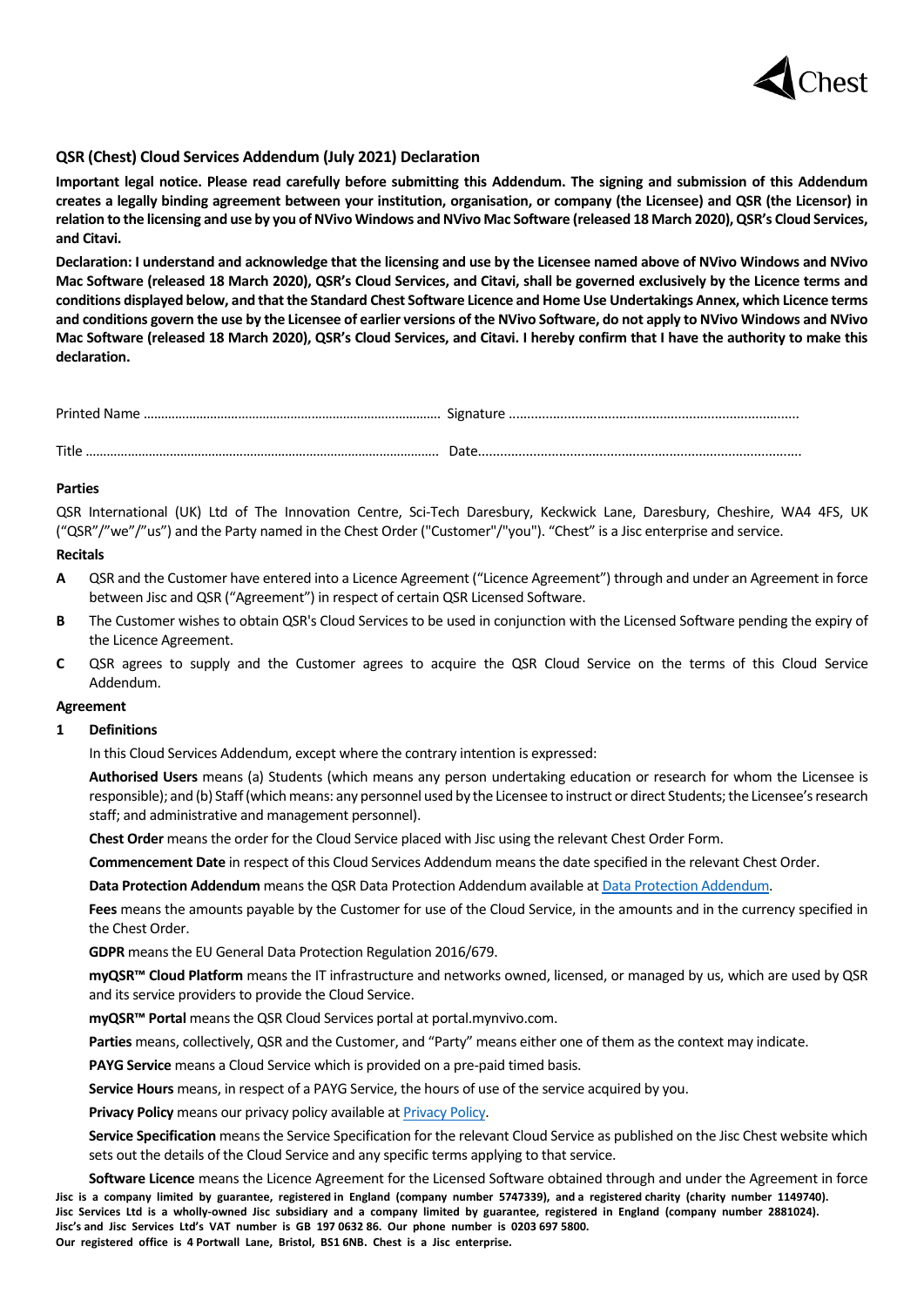

# **QSR (Chest) Cloud Services Addendum (July 2021) Declaration**

**Important legal notice. Please read carefully before submitting this Addendum. The signing and submission of this Addendum creates a legally binding agreement between your institution, organisation, or company (the Licensee) and QSR (the Licensor) in relation to the licensing and use by you of NVivo Windows and NVivo Mac Software (released 18 March 2020), QSR's Cloud Services, and Citavi.**

**Declaration: I understand and acknowledge that the licensing and use by the Licensee named above of NVivo Windows and NVivo Mac Software (released 18 March 2020), QSR's Cloud Services, and Citavi, shall be governed exclusively by the Licence terms and conditions displayed below, and that the Standard Chest Software Licence and Home Use Undertakings Annex, which Licence terms and conditions govern the use by the Licensee of earlier versions of the NVivo Software, do not apply to NVivo Windows and NVivo Mac Software (released 18 March 2020), QSR's Cloud Services, and Citavi. I hereby confirm that I have the authority to make this declaration.**

| Title |  |
|-------|--|

### **Parties**

QSR International (UK) Ltd of The Innovation Centre, Sci-Tech Daresbury, Keckwick Lane, Daresbury, Cheshire, WA4 4FS, UK ("QSR"/"we"/"us") and the Party named in the Chest Order ("Customer"/"you"). "Chest" is a Jisc enterprise and service.

#### **Recitals**

- **A** QSR and the Customer have entered into a Licence Agreement ("Licence Agreement") through and under an Agreement in force between Jisc and QSR ("Agreement") in respect of certain QSR Licensed Software.
- **B** The Customer wishes to obtain QSR's Cloud Services to be used in conjunction with the Licensed Software pending the expiry of the Licence Agreement.
- **C** QSR agrees to supply and the Customer agrees to acquire the QSR Cloud Service on the terms of this Cloud Service Addendum.

#### **Agreement**

#### **1 Definitions**

In this Cloud Services Addendum, except where the contrary intention is expressed:

**Authorised Users** means (a) Students (which means any person undertaking education or research for whom the Licensee is responsible); and (b) Staff (which means: any personnel used by the Licensee to instruct or direct Students; the Licensee's research staff; and administrative and management personnel).

**Chest Order** means the order for the Cloud Service placed with Jisc using the relevant Chest Order Form.

**Commencement Date** in respect of this Cloud Services Addendum means the date specified in the relevant Chest Order.

**Data Protection Addendum** means the QSR Data Protection Addendum available a[t Data Protection Addendum.](https://www.qsrinternational.com/legal-and-compliance/Data-Protection-Addendum)

**Fees** means the amounts payable by the Customer for use of the Cloud Service, in the amounts and in the currency specified in the Chest Order.

**GDPR** means the EU General Data Protection Regulation 2016/679.

**myQSR™ Cloud Platform** means the IT infrastructure and networks owned, licensed, or managed by us, which are used by QSR and its service providers to provide the Cloud Service.

**myQSR™ Portal** means the QSR Cloud Services portal at portal.mynvivo.com.

**Parties** means, collectively, QSR and the Customer, and "Party" means either one of them as the context may indicate.

**PAYG Service** means a Cloud Service which is provided on a pre-paid timed basis.

**Service Hours** means, in respect of a PAYG Service, the hours of use of the service acquired by you.

**Privacy Policy** means our privacy policy available at [Privacy Policy.](https://www.qsrinternational.com/legal-and-compliance/privacy-policy)

**Service Specification** means the Service Specification for the relevant Cloud Service as published on the Jisc Chest website which sets out the details of the Cloud Service and any specific terms applying to that service.

Jisc is a company limited by guarantee, registered in England (company number 5747339), and a registered charity (charity number 1149740). **Jisc Services Ltd is a wholly-owned Jisc subsidiary and a company limited by guarantee, registered in England (company number 2881024). Jisc's and Jisc Services Ltd's VAT number is GB 197 0632 86. Our phone number is 0203 697 5800. Our registered office is 4 Portwall Lane, Bristol, BS1 6NB. Chest is a Jisc enterprise. Software Licence** means the Licence Agreement for the Licensed Software obtained through and under the Agreement in force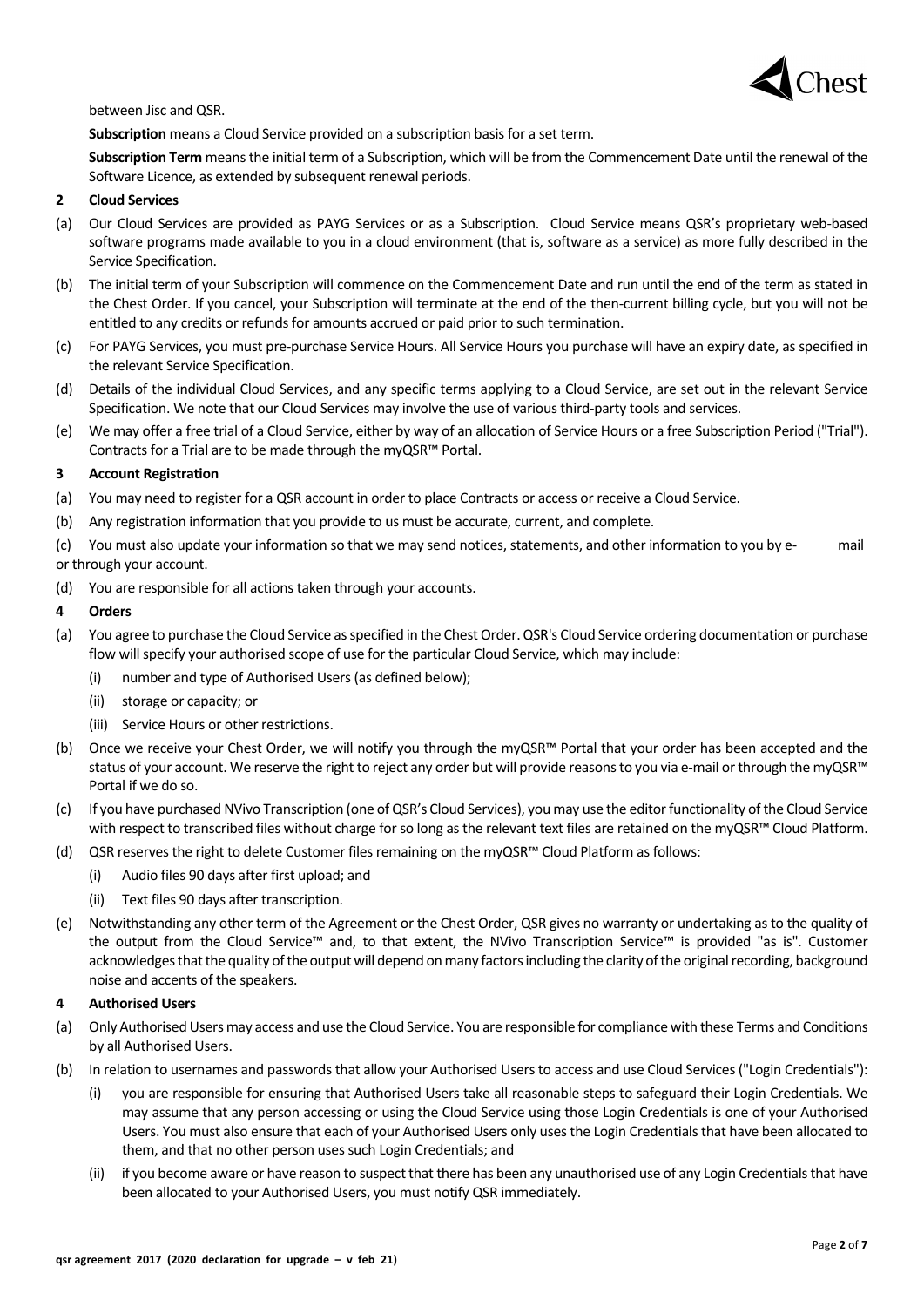

between Jisc and QSR.

**Subscription** means a Cloud Service provided on a subscription basis for a set term.

**Subscription Term** means the initial term of a Subscription, which will be from the Commencement Date until the renewal of the Software Licence, as extended by subsequent renewal periods.

### **2 Cloud Services**

- (a) Our Cloud Services are provided as PAYG Services or as a Subscription. Cloud Service means QSR's proprietary web-based software programs made available to you in a cloud environment (that is, software as a service) as more fully described in the Service Specification.
- (b) The initial term of your Subscription will commence on the Commencement Date and run until the end of the term as stated in the Chest Order. If you cancel, your Subscription will terminate at the end of the then-current billing cycle, but you will not be entitled to any credits or refunds for amounts accrued or paid prior to such termination.
- (c) For PAYG Services, you must pre-purchase Service Hours. All Service Hours you purchase will have an expiry date, as specified in the relevant Service Specification.
- (d) Details of the individual Cloud Services, and any specific terms applying to a Cloud Service, are set out in the relevant Service Specification. We note that our Cloud Services may involve the use of various third-party tools and services.
- (e) We may offer a free trial of a Cloud Service, either by way of an allocation of Service Hours or a free Subscription Period ("Trial"). Contracts for a Trial are to be made through the myQSR™ Portal.

### **3 Account Registration**

- (a) You may need to register for a QSR account in order to place Contracts or access or receive a Cloud Service.
- (b) Any registration information that you provide to us must be accurate, current, and complete.

(c) You must also update your information so that we may send notices, statements, and other information to you by e- mail or through your account.

(d) You are responsible for all actions taken through your accounts.

### **4 Orders**

- (a) You agree to purchase the Cloud Service as specified in the Chest Order. QSR's Cloud Service ordering documentation or purchase flow will specify your authorised scope of use for the particular Cloud Service, which may include:
	- (i) number and type of Authorised Users (as defined below);
	- (ii) storage or capacity; or
	- (iii) Service Hours or other restrictions.
- (b) Once we receive your Chest Order, we will notify you through the myQSR™ Portal that your order has been accepted and the status of your account. We reserve the right to reject any order but will provide reasons to you via e-mail or through the myQSR™ Portal if we do so.
- (c) If you have purchased NVivo Transcription (one of QSR's Cloud Services), you may use the editor functionality of the Cloud Service with respect to transcribed files without charge for so long as the relevant text files are retained on the myQSR™ Cloud Platform.
- (d) QSR reserves the right to delete Customer files remaining on the myQSR™ Cloud Platform as follows:
	- (i) Audio files 90 days after first upload; and
	- (ii) Text files 90 days after transcription.
- (e) Notwithstanding any other term of the Agreement or the Chest Order, QSR gives no warranty or undertaking as to the quality of the output from the Cloud Service™ and, to that extent, the NVivo Transcription Service™ is provided "as is". Customer acknowledges that the quality of the output will depend on many factors including the clarity of the original recording, background noise and accents of the speakers.

#### **4 Authorised Users**

- (a) Only Authorised Users may access and use the Cloud Service. You are responsible for compliance with these Terms and Conditions by all Authorised Users.
- (b) In relation to usernames and passwords that allow your Authorised Users to access and use Cloud Services ("Login Credentials"):
	- (i) you are responsible for ensuring that Authorised Users take all reasonable steps to safeguard their Login Credentials. We may assume that any person accessing or using the Cloud Service using those Login Credentials is one of your Authorised Users. You must also ensure that each of your Authorised Users only uses the Login Credentials that have been allocated to them, and that no other person uses such Login Credentials; and
	- (ii) if you become aware or have reason to suspect that there has been any unauthorised use of any Login Credentials that have been allocated to your Authorised Users, you must notify QSR immediately.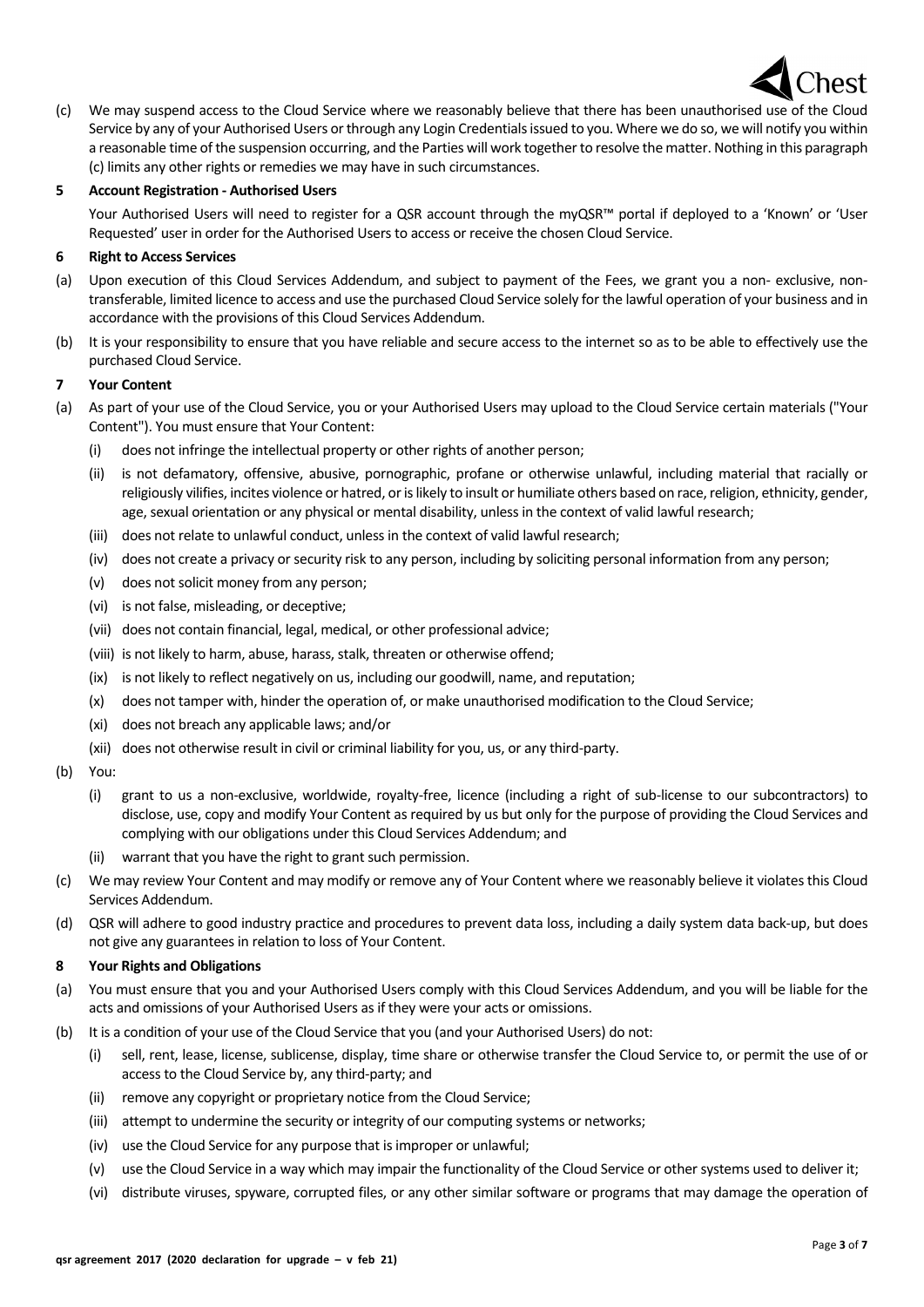

(c) We may suspend access to the Cloud Service where we reasonably believe that there has been unauthorised use of the Cloud Service by any of your Authorised Users or through any Login Credentials issued to you. Where we do so, we will notify you within a reasonable time of the suspension occurring, and the Parties will work together to resolve the matter. Nothing in this paragraph (c) limits any other rights or remedies we may have in such circumstances.

### **5 Account Registration - Authorised Users**

Your Authorised Users will need to register for a QSR account through the myQSR™ portal if deployed to a 'Known' or 'User Requested' user in order for the Authorised Users to access or receive the chosen Cloud Service.

### **6 Right to Access Services**

- (a) Upon execution of this Cloud Services Addendum, and subject to payment of the Fees, we grant you a non- exclusive, nontransferable, limited licence to access and use the purchased Cloud Service solely for the lawful operation of your business and in accordance with the provisions of this Cloud Services Addendum.
- (b) It is your responsibility to ensure that you have reliable and secure access to the internet so as to be able to effectively use the purchased Cloud Service.

#### **7 Your Content**

- (a) As part of your use of the Cloud Service, you or your Authorised Users may upload to the Cloud Service certain materials ("Your Content"). You must ensure that Your Content:
	- (i) does not infringe the intellectual property or other rights of another person;
	- (ii) is not defamatory, offensive, abusive, pornographic, profane or otherwise unlawful, including material that racially or religiously vilifies, incites violence or hatred, or islikely to insult or humiliate others based on race, religion, ethnicity, gender, age, sexual orientation or any physical or mental disability, unless in the context of valid lawful research;
	- (iii) does not relate to unlawful conduct, unless in the context of valid lawful research;
	- (iv) does not create a privacy or security risk to any person, including by soliciting personal information from any person;
	- (v) does not solicit money from any person;
	- (vi) is not false, misleading, or deceptive;
	- (vii) does not contain financial, legal, medical, or other professional advice;
	- (viii) is not likely to harm, abuse, harass, stalk, threaten or otherwise offend;
	- (ix) is not likely to reflect negatively on us, including our goodwill, name, and reputation;
	- (x) does not tamper with, hinder the operation of, or make unauthorised modification to the Cloud Service;
	- (xi) does not breach any applicable laws; and/or
	- (xii) does not otherwise result in civil or criminal liability for you, us, or any third-party.
- (b) You:
	- (i) grant to us a non-exclusive, worldwide, royalty-free, licence (including a right of sub-license to our subcontractors) to disclose, use, copy and modify Your Content as required by us but only for the purpose of providing the Cloud Services and complying with our obligations under this Cloud Services Addendum; and
	- warrant that you have the right to grant such permission.
- (c) We may review Your Content and may modify or remove any of Your Content where we reasonably believe it violates this Cloud Services Addendum.
- (d) QSR will adhere to good industry practice and procedures to prevent data loss, including a daily system data back-up, but does not give any guarantees in relation to loss of Your Content.

### **8 Your Rights and Obligations**

- (a) You must ensure that you and your Authorised Users comply with this Cloud Services Addendum, and you will be liable for the acts and omissions of your Authorised Users as if they were your acts or omissions.
- (b) It is a condition of your use of the Cloud Service that you (and your Authorised Users) do not:
	- (i) sell, rent, lease, license, sublicense, display, time share or otherwise transfer the Cloud Service to, or permit the use of or access to the Cloud Service by, any third-party; and
	- (ii) remove any copyright or proprietary notice from the Cloud Service;
	- (iii) attempt to undermine the security or integrity of our computing systems or networks;
	- (iv) use the Cloud Service for any purpose that is improper or unlawful;
	- (v) use the Cloud Service in a way which may impair the functionality of the Cloud Service or other systems used to deliver it;
	- (vi) distribute viruses, spyware, corrupted files, or any other similar software or programs that may damage the operation of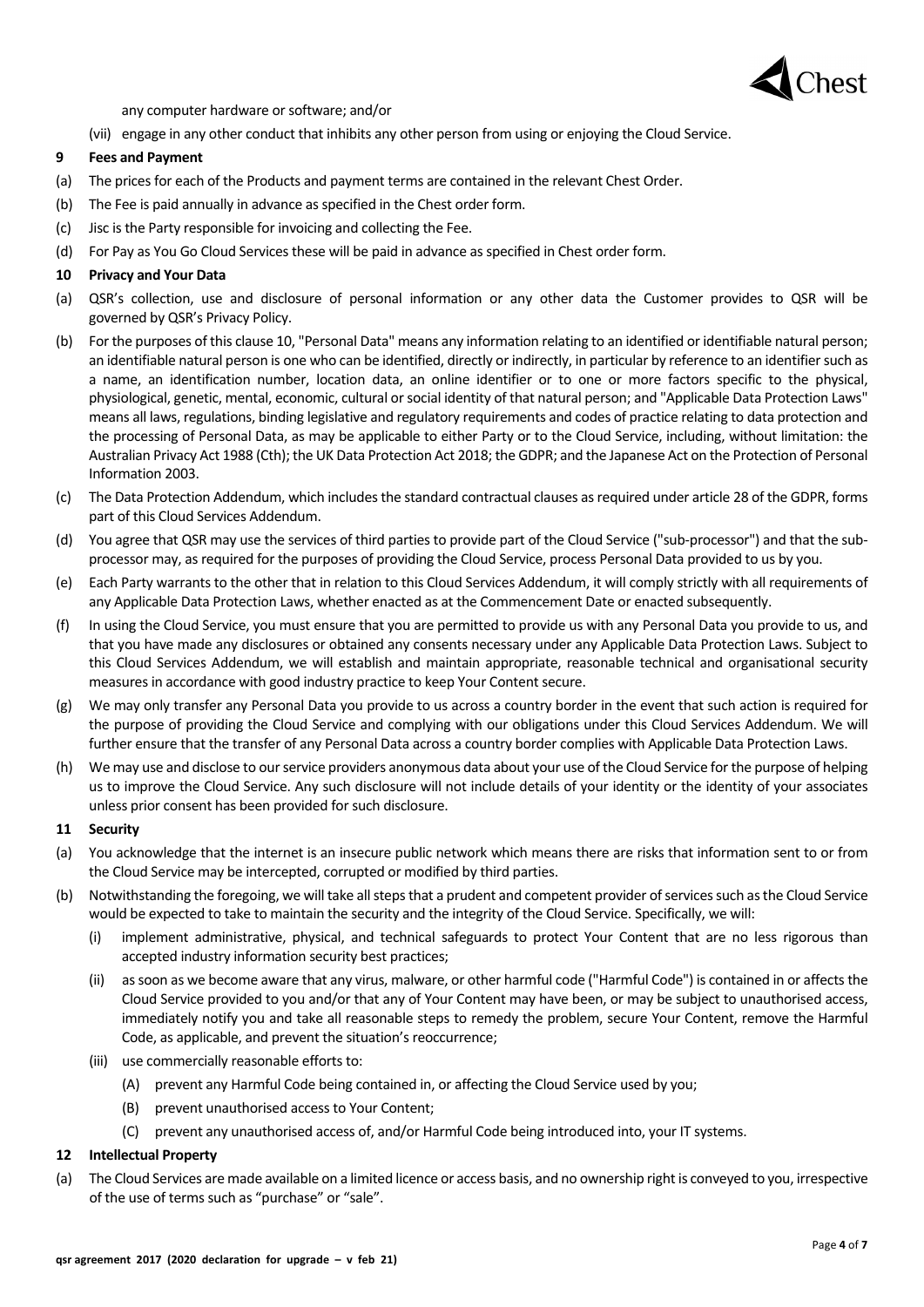

any computer hardware or software; and/or

(vii) engage in any other conduct that inhibits any other person from using or enjoying the Cloud Service.

### **9 Fees and Payment**

- (a) The prices for each of the Products and payment terms are contained in the relevant Chest Order.
- (b) The Fee is paid annually in advance as specified in the Chest order form.
- (c) Jisc is the Party responsible for invoicing and collecting the Fee.
- (d) For Pay as You Go Cloud Services these will be paid in advance as specified in Chest order form.

### **10 Privacy and Your Data**

- (a) QSR's collection, use and disclosure of personal information or any other data the Customer provides to QSR will be governed by QSR's Privacy Policy.
- (b) For the purposes of this clause 10, "Personal Data" means any information relating to an identified or identifiable natural person; an identifiable natural person is one who can be identified, directly or indirectly, in particular by reference to an identifier such as a name, an identification number, location data, an online identifier or to one or more factors specific to the physical, physiological, genetic, mental, economic, cultural or social identity of that natural person; and "Applicable Data Protection Laws" means all laws, regulations, binding legislative and regulatory requirements and codes of practice relating to data protection and the processing of Personal Data, as may be applicable to either Party or to the Cloud Service, including, without limitation: the Australian Privacy Act 1988 (Cth); the UK Data Protection Act 2018; the GDPR; and the Japanese Act on the Protection of Personal Information 2003.
- (c) The Data Protection Addendum, which includes the standard contractual clauses as required under article 28 of the GDPR, forms part of this Cloud Services Addendum.
- (d) You agree that QSR may use the services of third parties to provide part of the Cloud Service ("sub-processor") and that the subprocessor may, as required for the purposes of providing the Cloud Service, process Personal Data provided to us by you.
- (e) Each Party warrants to the other that in relation to this Cloud Services Addendum, it will comply strictly with all requirements of any Applicable Data Protection Laws, whether enacted as at the Commencement Date or enacted subsequently.
- (f) In using the Cloud Service, you must ensure that you are permitted to provide us with any Personal Data you provide to us, and that you have made any disclosures or obtained any consents necessary under any Applicable Data Protection Laws. Subject to this Cloud Services Addendum, we will establish and maintain appropriate, reasonable technical and organisational security measures in accordance with good industry practice to keep Your Content secure.
- (g) We may only transfer any Personal Data you provide to us across a country border in the event that such action is required for the purpose of providing the Cloud Service and complying with our obligations under this Cloud Services Addendum. We will further ensure that the transfer of any Personal Data across a country border complies with Applicable Data Protection Laws.
- (h) We may use and disclose to our service providers anonymous data about your use of the Cloud Service for the purpose of helping us to improve the Cloud Service. Any such disclosure will not include details of your identity or the identity of your associates unless prior consent has been provided for such disclosure.

#### **11 Security**

- (a) You acknowledge that the internet is an insecure public network which means there are risks that information sent to or from the Cloud Service may be intercepted, corrupted or modified by third parties.
- (b) Notwithstanding the foregoing, we will take all steps that a prudent and competent provider of services such as the Cloud Service would be expected to take to maintain the security and the integrity of the Cloud Service. Specifically, we will:
	- (i) implement administrative, physical, and technical safeguards to protect Your Content that are no less rigorous than accepted industry information security best practices;
	- (ii) as soon as we become aware that any virus, malware, or other harmful code ("Harmful Code") is contained in or affects the Cloud Service provided to you and/or that any of Your Content may have been, or may be subject to unauthorised access, immediately notify you and take all reasonable steps to remedy the problem, secure Your Content, remove the Harmful Code, as applicable, and prevent the situation's reoccurrence;
	- (iii) use commercially reasonable efforts to:
		- (A) prevent any Harmful Code being contained in, or affecting the Cloud Service used by you;
		- (B) prevent unauthorised access to Your Content;
		- (C) prevent any unauthorised access of, and/or Harmful Code being introduced into, your IT systems.

### **12 Intellectual Property**

(a) The Cloud Services are made available on a limited licence or access basis, and no ownership right is conveyed to you, irrespective of the use of terms such as "purchase" or "sale".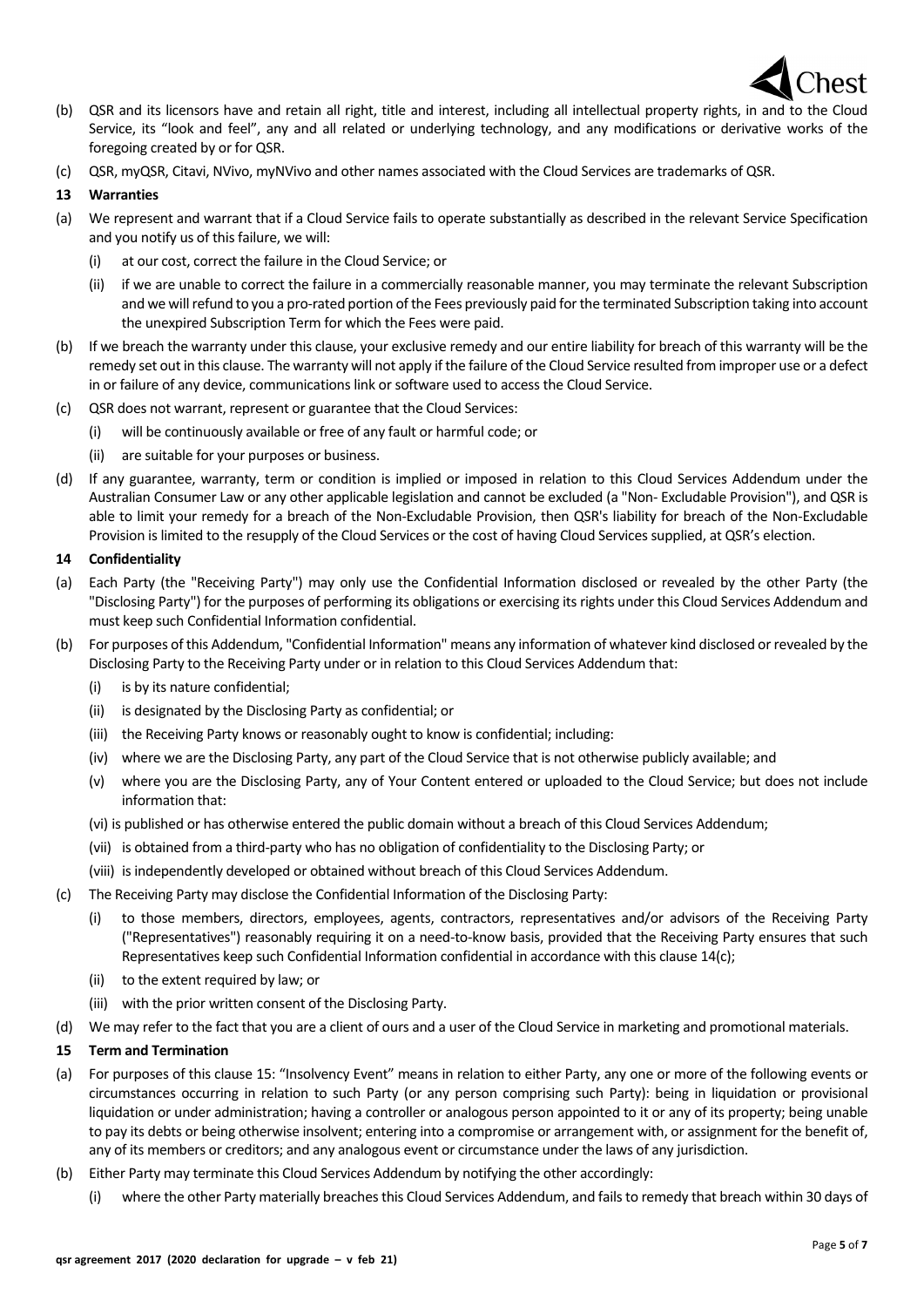

- (b) QSR and its licensors have and retain all right, title and interest, including all intellectual property rights, in and to the Cloud Service, its "look and feel", any and all related or underlying technology, and any modifications or derivative works of the foregoing created by or for QSR.
- (c) QSR, myQSR, Citavi, NVivo, myNVivo and other names associated with the Cloud Services are trademarks of QSR.

# **13 Warranties**

- (a) We represent and warrant that if a Cloud Service fails to operate substantially as described in the relevant Service Specification and you notify us of this failure, we will:
	- (i) at our cost, correct the failure in the Cloud Service; or
	- (ii) if we are unable to correct the failure in a commercially reasonable manner, you may terminate the relevant Subscription and we will refund to you a pro-rated portion of the Fees previously paid for the terminated Subscription taking into account the unexpired Subscription Term for which the Fees were paid.
- (b) If we breach the warranty under this clause, your exclusive remedy and our entire liability for breach of this warranty will be the remedy set out in this clause. The warranty will not apply if the failure of the Cloud Service resulted from improper use or a defect in or failure of any device, communications link or software used to access the Cloud Service.
- (c) QSR does not warrant, represent or guarantee that the Cloud Services:
	- (i) will be continuously available or free of any fault or harmful code; or
	- (ii) are suitable for your purposes or business.
- (d) If any guarantee, warranty, term or condition is implied or imposed in relation to this Cloud Services Addendum under the Australian Consumer Law or any other applicable legislation and cannot be excluded (a "Non- Excludable Provision"), and QSR is able to limit your remedy for a breach of the Non-Excludable Provision, then QSR's liability for breach of the Non-Excludable Provision is limited to the resupply of the Cloud Services or the cost of having Cloud Services supplied, at QSR's election.

## **14 Confidentiality**

- (a) Each Party (the "Receiving Party") may only use the Confidential Information disclosed or revealed by the other Party (the "Disclosing Party") for the purposes of performing its obligations or exercising its rights under this Cloud Services Addendum and must keep such Confidential Information confidential.
- (b) For purposes of this Addendum, "Confidential Information" means any information of whatever kind disclosed or revealed by the Disclosing Party to the Receiving Party under or in relation to this Cloud Services Addendum that:
	- (i) is by its nature confidential;
	- (ii) is designated by the Disclosing Party as confidential; or
	- (iii) the Receiving Party knows or reasonably ought to know is confidential; including:
	- (iv) where we are the Disclosing Party, any part of the Cloud Service that is not otherwise publicly available; and
	- (v) where you are the Disclosing Party, any of Your Content entered or uploaded to the Cloud Service; but does not include information that:
	- (vi) is published or has otherwise entered the public domain without a breach of this Cloud Services Addendum;
	- (vii) is obtained from a third-party who has no obligation of confidentiality to the Disclosing Party; or
	- (viii) is independently developed or obtained without breach of this Cloud Services Addendum.
- (c) The Receiving Party may disclose the Confidential Information of the Disclosing Party:
	- (i) to those members, directors, employees, agents, contractors, representatives and/or advisors of the Receiving Party ("Representatives") reasonably requiring it on a need-to-know basis, provided that the Receiving Party ensures that such Representatives keep such Confidential Information confidential in accordance with this clause 14(c);
	- (ii) to the extent required by law; or
	- (iii) with the prior written consent of the Disclosing Party.
- (d) We may refer to the fact that you are a client of ours and a user of the Cloud Service in marketing and promotional materials.

## **15 Term and Termination**

- (a) For purposes of this clause 15: "Insolvency Event" means in relation to either Party, any one or more of the following events or circumstances occurring in relation to such Party (or any person comprising such Party): being in liquidation or provisional liquidation or under administration; having a controller or analogous person appointed to it or any of its property; being unable to pay its debts or being otherwise insolvent; entering into a compromise or arrangement with, or assignment for the benefit of, any of its members or creditors; and any analogous event or circumstance under the laws of any jurisdiction.
- (b) Either Party may terminate this Cloud Services Addendum by notifying the other accordingly:
	- (i) where the other Party materially breaches this Cloud Services Addendum, and fails to remedy that breach within 30 days of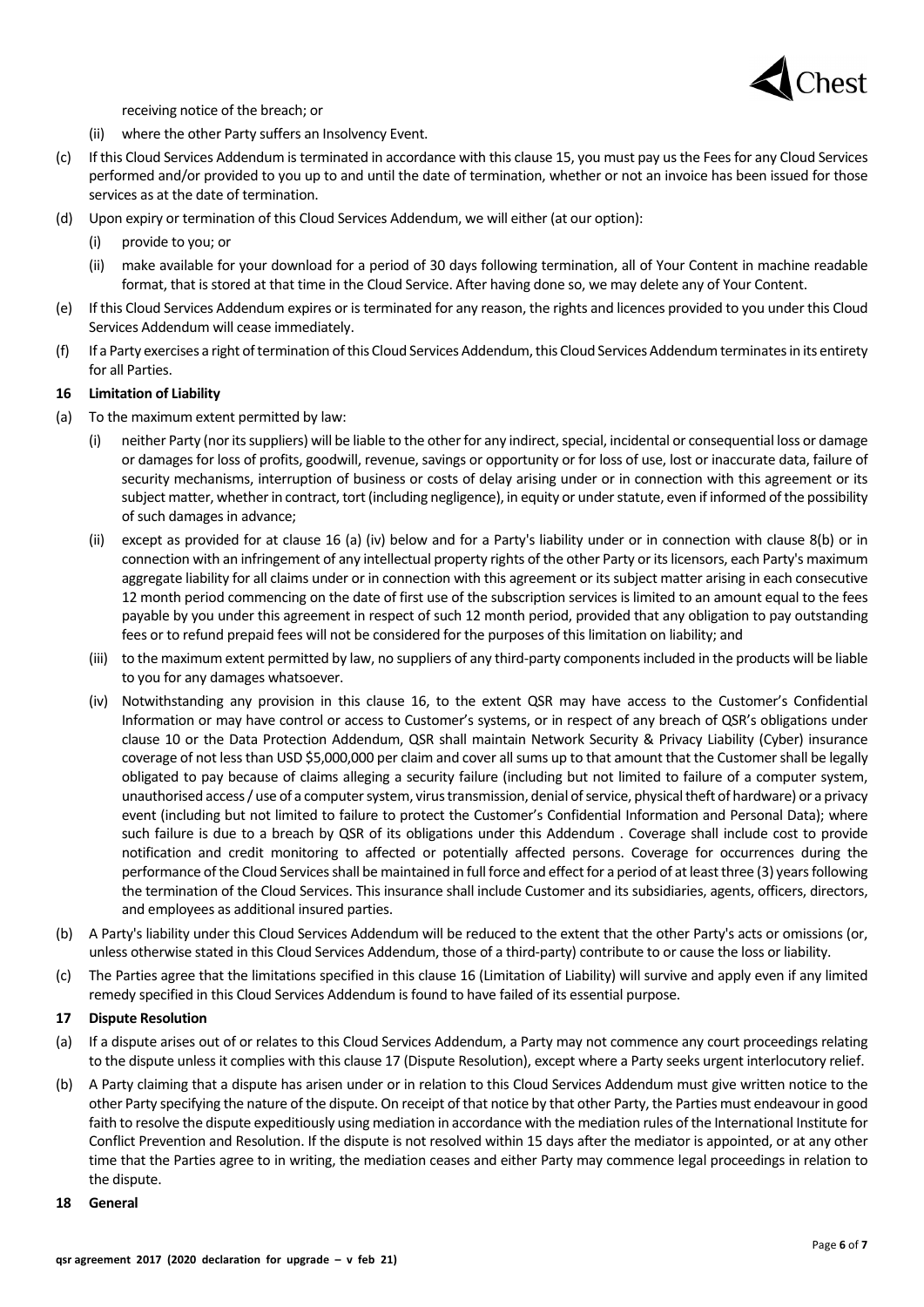

receiving notice of the breach; or

- (ii) where the other Party suffers an Insolvency Event.
- (c) If this Cloud Services Addendum is terminated in accordance with this clause 15, you must pay us the Fees for any Cloud Services performed and/or provided to you up to and until the date of termination, whether or not an invoice has been issued for those services as at the date of termination.
- (d) Upon expiry or termination of this Cloud Services Addendum, we will either (at our option):
	- (i) provide to you; or
	- (ii) make available for your download for a period of 30 days following termination, all of Your Content in machine readable format, that is stored at that time in the Cloud Service. After having done so, we may delete any of Your Content.
- (e) If this Cloud Services Addendum expires or is terminated for any reason, the rights and licences provided to you under this Cloud Services Addendum will cease immediately.
- (f) If a Party exercises a right of termination of this Cloud Services Addendum, this Cloud Services Addendum terminates in its entirety for all Parties.

#### **16 Limitation of Liability**

- (a) To the maximum extent permitted by law:
	- (i) neither Party (nor its suppliers) will be liable to the other for any indirect, special, incidental or consequential loss or damage or damages for loss of profits, goodwill, revenue, savings or opportunity or for loss of use, lost or inaccurate data, failure of security mechanisms, interruption of business or costs of delay arising under or in connection with this agreement or its subject matter, whether in contract, tort (including negligence), in equity or under statute, even if informed of the possibility of such damages in advance;
	- (ii) except as provided for at clause 16 (a) (iv) below and for a Party's liability under or in connection with clause 8(b) or in connection with an infringement of any intellectual property rights of the other Party or its licensors, each Party's maximum aggregate liability for all claims under or in connection with this agreement or its subject matter arising in each consecutive 12 month period commencing on the date of first use of the subscription services is limited to an amount equal to the fees payable by you under this agreement in respect of such 12 month period, provided that any obligation to pay outstanding fees or to refund prepaid fees will not be considered for the purposes of this limitation on liability; and
	- (iii) to the maximum extent permitted by law, no suppliers of any third-party components included in the products will be liable to you for any damages whatsoever.
	- (iv) Notwithstanding any provision in this clause 16, to the extent QSR may have access to the Customer's Confidential Information or may have control or access to Customer's systems, or in respect of any breach of QSR's obligations under clause 10 or the Data Protection Addendum, QSR shall maintain Network Security & Privacy Liability (Cyber) insurance coverage of not less than USD \$5,000,000 per claim and cover all sums up to that amount that the Customer shall be legally obligated to pay because of claims alleging a security failure (including but not limited to failure of a computer system, unauthorised access / use of a computer system, virus transmission, denial of service, physical theft of hardware) or a privacy event (including but not limited to failure to protect the Customer's Confidential Information and Personal Data); where such failure is due to a breach by QSR of its obligations under this Addendum . Coverage shall include cost to provide notification and credit monitoring to affected or potentially affected persons. Coverage for occurrences during the performance of the Cloud Services shall be maintained in full force and effect for a period of at leastthree (3) years following the termination of the Cloud Services. This insurance shall include Customer and its subsidiaries, agents, officers, directors, and employees as additional insured parties.
- (b) A Party's liability under this Cloud Services Addendum will be reduced to the extent that the other Party's acts or omissions (or, unless otherwise stated in this Cloud Services Addendum, those of a third-party) contribute to or cause the loss or liability.
- (c) The Parties agree that the limitations specified in this clause 16 (Limitation of Liability) will survive and apply even if any limited remedy specified in this Cloud Services Addendum is found to have failed of its essential purpose.

#### **17 Dispute Resolution**

- (a) If a dispute arises out of or relates to this Cloud Services Addendum, a Party may not commence any court proceedings relating to the dispute unless it complies with this clause 17 (Dispute Resolution), except where a Party seeks urgent interlocutory relief.
- (b) A Party claiming that a dispute has arisen under or in relation to this Cloud Services Addendum must give written notice to the other Party specifying the nature of the dispute. On receipt of that notice by that other Party, the Parties must endeavour in good faith to resolve the dispute expeditiously using mediation in accordance with the mediation rules of the International Institute for Conflict Prevention and Resolution. If the dispute is not resolved within 15 days after the mediator is appointed, or at any other time that the Parties agree to in writing, the mediation ceases and either Party may commence legal proceedings in relation to the dispute.
- **18 General**